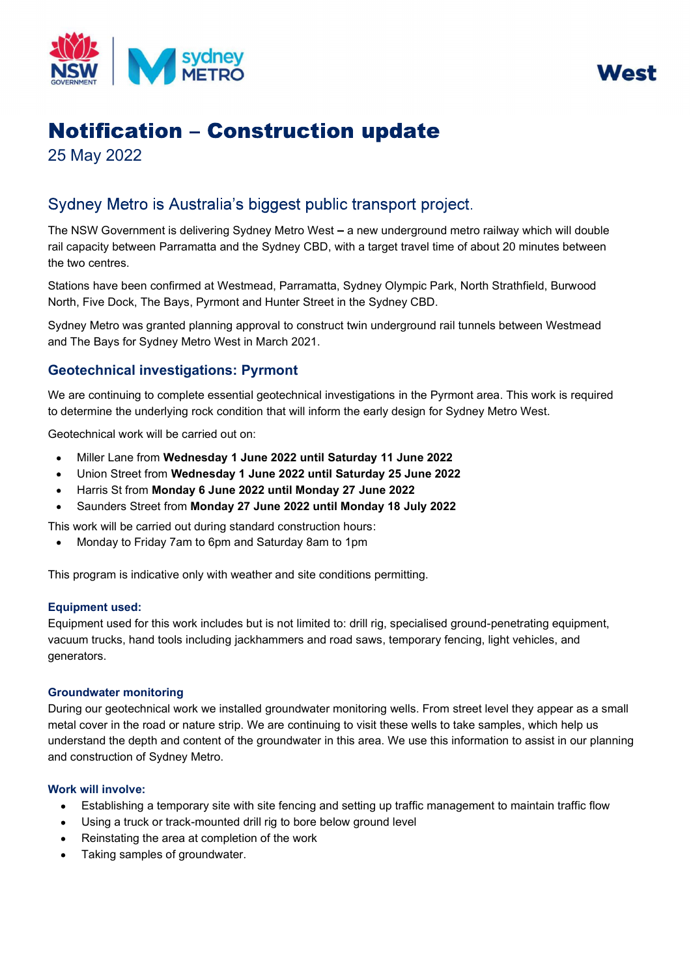



# **Notification - Construction update**

25 May 2022

## Sydney Metro is Australia's biggest public transport project.

The NSW Government is delivering Sydney Metro West – a new underground metro railway which will double rail capacity between Parramatta and the Sydney CBD, with a target travel time of about 20 minutes between the two centres.

 Stations have been confirmed at Westmead, Parramatta, Sydney Olympic Park, North Strathfield, Burwood North, Five Dock, The Bays, Pyrmont and Hunter Street in the Sydney CBD.

 Sydney Metro was granted planning approval to construct twin underground rail tunnels between Westmead and The Bays for Sydney Metro West in March 2021. orth, Five Dock, The Bays, Pyrmont<br>ydney Metro was granted planning and The Bays for Sydney Metro West<br>**eotechnical investigations:**<br>le are continuing to complete essent<br>determine the underlying rock cond<br>eotechnical work

### Geotechnical investigations: Pyrmont

 We are continuing to complete essential geotechnical investigations in the Pyrmont area. This work is required to determine the underlying rock condition that will inform the early design for Sydney Metro West.

Geotechnical work will be carried out on:

- Miller Lane from Wednesday 1 June 2022 until Saturday 11 June 2022
- Union Street from Wednesday 1 June 2022 until Saturday 25 June 2022
- $\bullet$ Harris St from Monday 6 June 2022 until Monday 27 June 2022
- Saunders Street from Monday 27 June 2022 until Monday 18 July 2022

 Saunders<br>work will be<br>Monday to This work will be carried out during standard construction hours:

Monday to Friday 7am to 6pm and Saturday 8am to 1pm

This program is indicative only with weather and site conditions permitting.

#### Equipment used:

 Equipment used for this work includes but is not limited to: drill rig, specialised ground-penetrating equipment, This program is indicative only with weather and site conditions permitting.<br>Equipment used:<br>Equipment used for this work includes but is not limited to: drill rig, specialised ground-penetrating equip<br>vacuum trucks, hand generators.

#### Groundwater monitoring

 During our geotechnical work we installed groundwater monitoring wells. From street level they appear as a small metal cover in the road or nature strip. We are continuing to visit these wells to take samples, which help us and construction of Sydney Metro. g our geote<br>cover in the<br>stand the d<br>onstruction<br>will involv understand the depth and content of the groundwater in this area. We use this information to assist in our planning

#### Work will involve:

- Establishing a temporary site with site fencing and setting up traffic management to maintain traffic flow
- Establishing a temporary site with site fencing and setting up traff<br>Using a truck or track-mounted drill rig to bore below ground level
- Reinstating the area at completion of the work
- Reinstating the area at completi<br>Taking samples of groundwater.